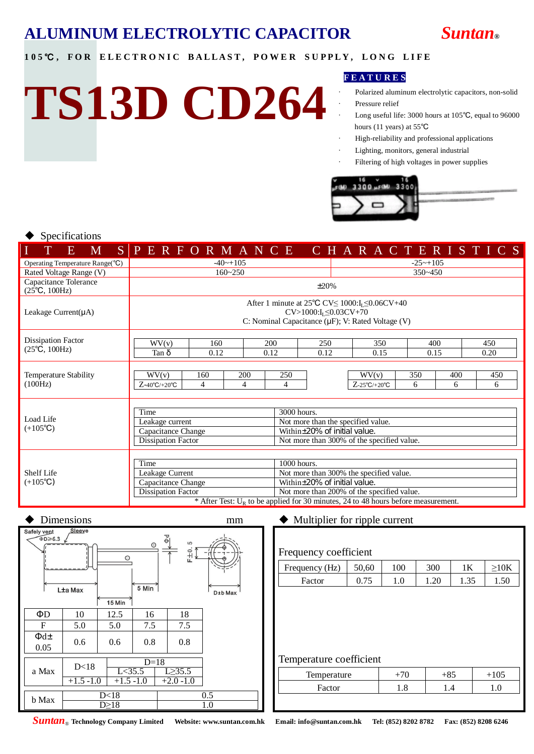

#### 105℃, FOR ELECTRONIC BALLAST, POWER SUPPLY, LONG LIFE

# **TS13D CD264**

#### **F E A T U R E S**

- Polarized aluminum electrolytic capacitors, non-solid Pressure relief
- Long useful life: 3000 hours at  $105^{\circ}$ C, equal to 96000 hours (11 years) at 55℃
- High-reliability and professional applications
- Lighting, monitors, general industrial
- Filtering of high voltages in power supplies



#### Specifications

| M<br>E                                                        |                                                                                                                                                                                                                                                                                                            |                                                                                                                                                                                   |          |                                                                                                                                 |             | $S$ PERFORMANCE CHARACTERISTICS |             |          |             |  |  |  |
|---------------------------------------------------------------|------------------------------------------------------------------------------------------------------------------------------------------------------------------------------------------------------------------------------------------------------------------------------------------------------------|-----------------------------------------------------------------------------------------------------------------------------------------------------------------------------------|----------|---------------------------------------------------------------------------------------------------------------------------------|-------------|---------------------------------|-------------|----------|-------------|--|--|--|
| Operating Temperature Range(°C)                               |                                                                                                                                                                                                                                                                                                            | $-40$ ~+105                                                                                                                                                                       |          |                                                                                                                                 |             | $-25$ ~+105                     |             |          |             |  |  |  |
| Rated Voltage Range (V)                                       |                                                                                                                                                                                                                                                                                                            | $160 - 250$<br>$350 - 450$                                                                                                                                                        |          |                                                                                                                                 |             |                                 |             |          |             |  |  |  |
| Capacitance Tolerance<br>$(25^{\circ}\text{C}, 100\text{Hz})$ |                                                                                                                                                                                                                                                                                                            | $\pm 20\%$                                                                                                                                                                        |          |                                                                                                                                 |             |                                 |             |          |             |  |  |  |
| Leakage Current( $\mu$ A)                                     |                                                                                                                                                                                                                                                                                                            | After 1 minute at 25 $\degree$ C CV $\leq$ 1000:I <sub>I</sub> $\leq$ 0.06CV+40<br>$CV > 1000$ : $I_L \le 0.03CV + 70$<br>C: Nominal Capacitance ( $\mu$ F); V: Rated Voltage (V) |          |                                                                                                                                 |             |                                 |             |          |             |  |  |  |
| Dissipation Factor<br>$(25^{\circ}C, 100Hz)$                  | WV(v)<br>Tan δ                                                                                                                                                                                                                                                                                             | 160<br>200<br>0.12<br>0.12                                                                                                                                                        |          |                                                                                                                                 | 250<br>0.12 | 350<br>0.15                     | 400<br>0.15 |          | 450<br>0.20 |  |  |  |
| Temperature Stability<br>(100Hz)                              | WV(v)<br>$Z$ -40°C/+20°C                                                                                                                                                                                                                                                                                   | 160<br>4                                                                                                                                                                          | 200<br>4 | 250<br>4                                                                                                                        |             | WV(v)<br>$Z$ -25°C/+20°C        | 350<br>6    | 400<br>6 | 450<br>6    |  |  |  |
| Load Life<br>$(+105^{\circ}C)$                                | Time<br>Leakage current<br>Capacitance Change<br>Dissipation Factor                                                                                                                                                                                                                                        |                                                                                                                                                                                   |          | 3000 hours.<br>Not more than the specified value.<br>Within±20% of initial value.<br>Not more than 300% of the specified value. |             |                                 |             |          |             |  |  |  |
| Shelf Life<br>$(+105^{\circ}C)$                               | Time<br>1000 hours.<br>Leakage Current<br>Not more than 300% the specified value.<br>Within±20% of initial value.<br>Capacitance Change<br><b>Dissipation Factor</b><br>Not more than 200% of the specified value.<br>* After Test: $U_R$ to be applied for 30 minutes, 24 to 48 hours before measurement. |                                                                                                                                                                                   |          |                                                                                                                                 |             |                                 |             |          |             |  |  |  |



| Frequency coefficient                                          |       |                          |               |      |                      |  |  |
|----------------------------------------------------------------|-------|--------------------------|---------------|------|----------------------|--|--|
|                                                                |       |                          |               |      |                      |  |  |
| Frequency (Hz)                                                 | 50,60 | 100                      | 300           | 1K   | $\geq10K$            |  |  |
| Factor                                                         | 0.75  | 1.0                      | 1.20          | 1.35 | 1.50                 |  |  |
|                                                                |       |                          |               |      |                      |  |  |
|                                                                |       |                          |               |      |                      |  |  |
|                                                                |       |                          |               |      |                      |  |  |
|                                                                |       |                          |               |      |                      |  |  |
|                                                                |       |                          |               |      |                      |  |  |
| Temperature coefficient                                        |       |                          |               |      |                      |  |  |
| <b></b><br><b>Contract Contract Contract Contract Contract</b> |       | $\overline{\phantom{a}}$ | $\sim$ $\sim$ |      | $\sim$ $\sim$ $\sim$ |  |  |

| Temperature |  |  |
|-------------|--|--|
| actor       |  |  |
|             |  |  |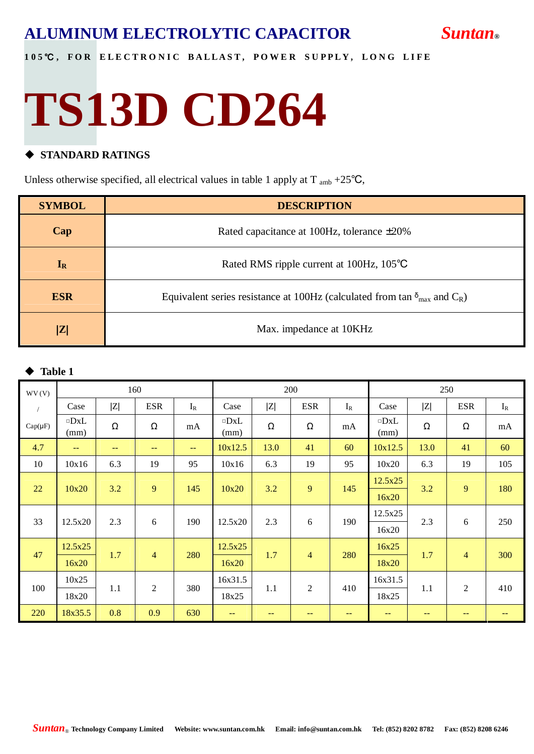#### 105℃, FOR ELECTRONIC BALLAST, POWER SUPPLY, LONG LIFE

## **TS13D CD264**

#### $\triangle$  **STANDARD RATINGS**

Unless otherwise specified, all electrical values in table 1 apply at  $T_{amb} +25^{\circ}C$ ,

| <b>SYMBOL</b> | <b>DESCRIPTION</b>                                                                           |
|---------------|----------------------------------------------------------------------------------------------|
| Cap           | Rated capacitance at 100Hz, tolerance $\pm 20\%$                                             |
| $I_R$         | Rated RMS ripple current at 100Hz, 105°C                                                     |
| <b>ESR</b>    | Equivalent series resistance at 100Hz (calculated from tan $\delta_{\text{max}}$ and $C_R$ ) |
| Z             | Max. impedance at 10KHz                                                                      |

#### **Table 1**

| WV(V)        |                    |     | 160            |                   | 200                |      |                |       | 250                |      |                |       |  |  |
|--------------|--------------------|-----|----------------|-------------------|--------------------|------|----------------|-------|--------------------|------|----------------|-------|--|--|
|              | Case               | Z   | <b>ESR</b>     | $I_R$             | Case               | Z    | <b>ESR</b>     | $I_R$ | Case               | Z    | <b>ESR</b>     | $I_R$ |  |  |
| $Cap(\mu F)$ | $\neg$ DxL<br>(mm) | Ω   | Ω              | mA                | $\neg$ DxL<br>(mm) | Ω    | Ω              | mA    | $\neg$ DxL<br>(mm) | Ω    | Ω              | mA    |  |  |
| 4.7          | $\sim$ $\sim$      | --  | --             | $\qquad \qquad -$ | 10x12.5            | 13.0 | 41             | 60    | 10x12.5            | 13.0 | 41             | 60    |  |  |
| 10           | 10x16              | 6.3 | 19             | 95                | 10x16              | 6.3  | 19             | 95    | 10x20              | 6.3  | 19             | 105   |  |  |
|              |                    |     |                |                   |                    |      |                |       | 12.5x25            |      |                |       |  |  |
| 22           | 10x20              | 3.2 | 9              | 145               | 10x20              | 3.2  | 9              | 145   | 16x20              | 3.2  | 9              | 180   |  |  |
|              |                    | 2.3 | 6              |                   | 12.5x20            | 2.3  | 6              | 190   | 12.5x25            |      | 6              | 250   |  |  |
| 33           | 12.5x20            |     |                | 190               |                    |      |                |       | 16x20              | 2.3  |                |       |  |  |
|              | 12.5x25            |     |                |                   | 12.5x25            |      |                |       | 16x25              |      |                |       |  |  |
| 47           | 16x20              | 1.7 | $\overline{4}$ | 280               | 16x20              | 1.7  | $\overline{4}$ | 280   | 18x20              | 1.7  | $\overline{4}$ | 300   |  |  |
|              | 10x25              |     |                |                   |                    |      | 16x31.5        |       |                    |      | 16x31.5        |       |  |  |
| 100          | 18x20              | 1.1 | $\overline{2}$ | 380               | 18x25              | 1.1  | $\overline{2}$ | 410   | 18x25              | 1.1  | $\overline{2}$ | 410   |  |  |
| 220          | 18x35.5            | 0.8 | 0.9            | 630               | $\qquad \qquad -$  | --   | --             |       | $-$                | --   |                |       |  |  |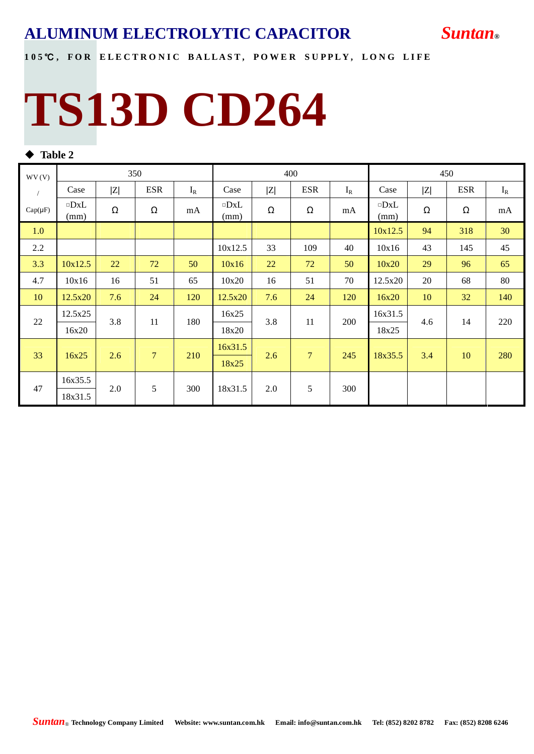

#### 105℃, FOR ELECTRONIC BALLAST, POWER SUPPLY, LONG LIFE

## **TS13D CD264**

#### $\blacklozenge$  Table 2

| WV(V)        |                    |     | 350            |       |                    |     | 400            |            | 450                |     |            |       |
|--------------|--------------------|-----|----------------|-------|--------------------|-----|----------------|------------|--------------------|-----|------------|-------|
| $\sqrt{2}$   | Case               | Z   | <b>ESR</b>     | $I_R$ | Case               | Z   | <b>ESR</b>     | $I_R$      | Case               | Z   | <b>ESR</b> | $I_R$ |
| $Cap(\mu F)$ | $\neg$ DxL<br>(mm) | Ω   | Ω              | mA    | $\neg$ DxL<br>(mm) | Ω   | Ω              | mA         | $\neg$ DxL<br>(mm) | Ω   | Ω          | mA    |
| 1.0          |                    |     |                |       |                    |     |                |            | 10x12.5            | 94  | 318        | 30    |
| 2.2          |                    |     |                |       | 10x12.5            | 33  | 109            | 40         | 10x16              | 43  | 145        | 45    |
| 3.3          | 10x12.5            | 22  | 72             | 50    | 10x16              | 22  | 72             | 50         | 10x20              | 29  | 96         | 65    |
| 4.7          | 10x16              | 16  | 51             | 65    | 10x20              | 16  | 51             | 70         | 12.5x20            | 20  | 68         | 80    |
| 10           | 12.5x20            | 7.6 | 24             | 120   | 12.5x20            | 7.6 | 24             | 120        | 16x20              | 10  | 32         | 140   |
|              | 12.5x25            |     |                |       | 16x25              |     |                |            | 16x31.5            |     |            |       |
| 22           | 16x20              | 3.8 | 11             | 180   | 18x20              | 3.8 | 11             | <b>200</b> | 18x25              | 4.6 | 14         | 220   |
| 33           |                    |     | $\overline{7}$ |       | 16x31.5            |     |                |            |                    |     |            |       |
|              | 16x25              | 2.6 |                | 210   | 18x25              | 2.6 | $\overline{7}$ | 245        | 18x35.5            | 3.4 | 10         | 280   |
|              | 16x35.5            |     | 5              |       |                    |     | 5              |            |                    |     |            |       |
| 47           | 18x31.5            | 2.0 |                | 300   | 18x31.5            | 2.0 |                | 300        |                    |     |            |       |